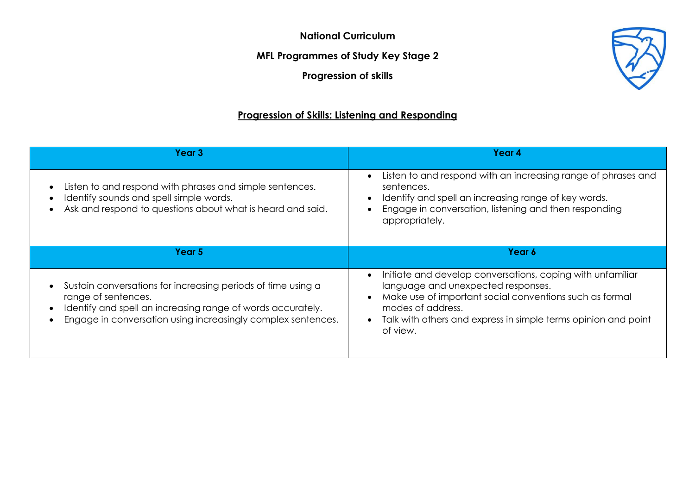**National Curriculum**

**MFL Programmes of Study Key Stage 2**

**Progression of skills**

## **Progression of Skills: Listening and Responding**

| Year 3                                                                                                                                                                                                             | Year 4                                                                                                                                                                                                                                                         |
|--------------------------------------------------------------------------------------------------------------------------------------------------------------------------------------------------------------------|----------------------------------------------------------------------------------------------------------------------------------------------------------------------------------------------------------------------------------------------------------------|
| Listen to and respond with phrases and simple sentences.<br>Identify sounds and spell simple words.<br>Ask and respond to questions about what is heard and said.                                                  | Listen to and respond with an increasing range of phrases and<br>sentences.<br>Identify and spell an increasing range of key words.<br>Engage in conversation, listening and then responding<br>appropriately.                                                 |
| Year 5                                                                                                                                                                                                             | Year 6                                                                                                                                                                                                                                                         |
| Sustain conversations for increasing periods of time using a<br>range of sentences.<br>Identify and spell an increasing range of words accurately.<br>Engage in conversation using increasingly complex sentences. | Initiate and develop conversations, coping with unfamiliar<br>language and unexpected responses.<br>Make use of important social conventions such as formal<br>modes of address.<br>Talk with others and express in simple terms opinion and point<br>of view. |

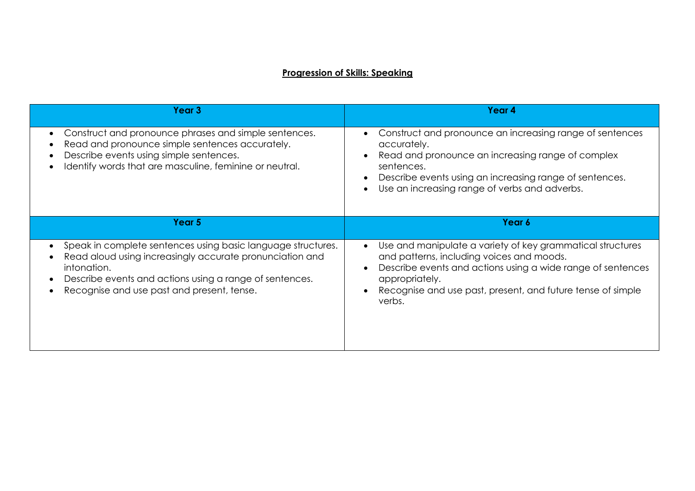## **Progression of Skills: Speaking**

| Year <sub>3</sub>                                                                                                                                                                                                                                                          | Year 4                                                                                                                                                                                                                                                            |
|----------------------------------------------------------------------------------------------------------------------------------------------------------------------------------------------------------------------------------------------------------------------------|-------------------------------------------------------------------------------------------------------------------------------------------------------------------------------------------------------------------------------------------------------------------|
| Construct and pronounce phrases and simple sentences.<br>$\bullet$<br>Read and pronounce simple sentences accurately.<br>Describe events using simple sentences.<br>Identify words that are masculine, feminine or neutral.                                                | Construct and pronounce an increasing range of sentences<br>accurately.<br>Read and pronounce an increasing range of complex<br>sentences.<br>Describe events using an increasing range of sentences.<br>Use an increasing range of verbs and adverbs.            |
| Year 5                                                                                                                                                                                                                                                                     | Year 6                                                                                                                                                                                                                                                            |
| Speak in complete sentences using basic language structures.<br>$\bullet$<br>Read aloud using increasingly accurate pronunciation and<br>intonation.<br>Describe events and actions using a range of sentences.<br>$\bullet$<br>Recognise and use past and present, tense. | Use and manipulate a variety of key grammatical structures<br>and patterns, including voices and moods.<br>Describe events and actions using a wide range of sentences<br>appropriately.<br>Recognise and use past, present, and future tense of simple<br>verbs. |